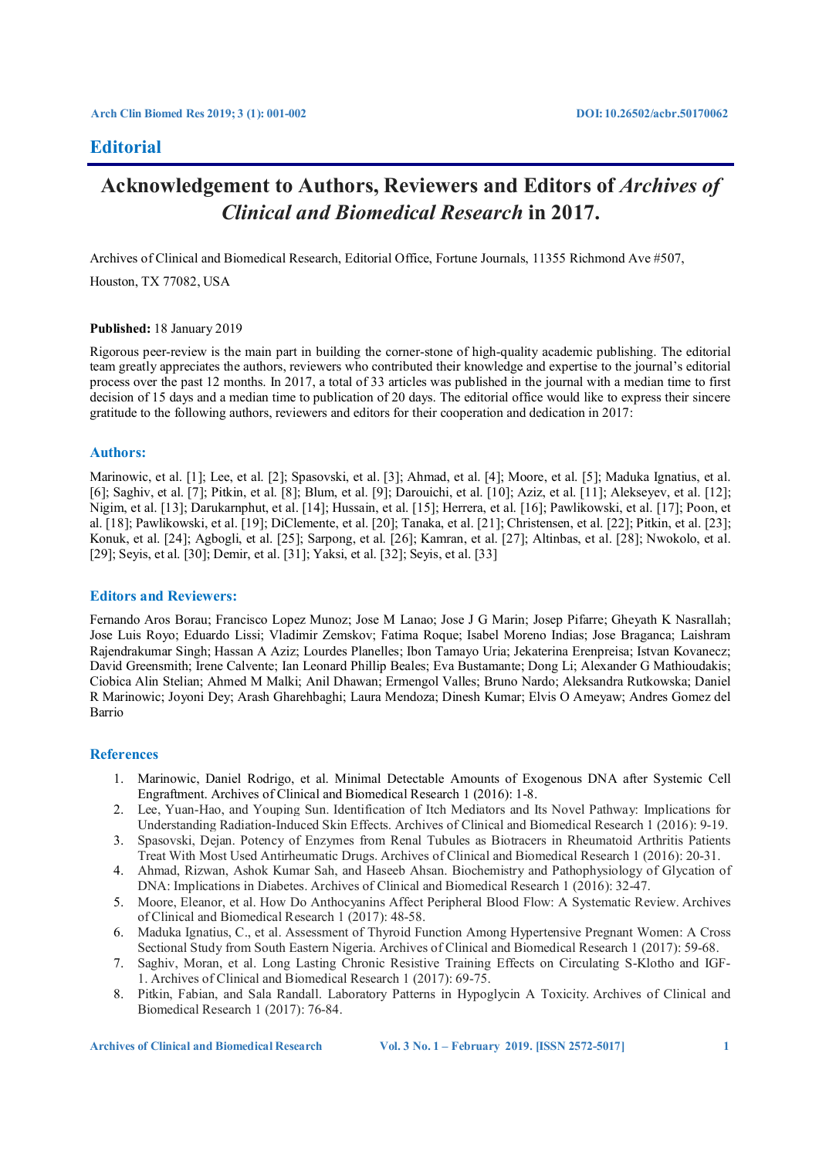# **Editorial**

# **Acknowledgement to Authors, Reviewers and Editors of** *Archives of Clinical and Biomedical Research* **in 2017.**

Archives of Clinical and Biomedical Research, Editorial Office, Fortune Journals, 11355 Richmond Ave #507,

Houston, TX 77082, USA

### **Published:** 18 January 2019

Rigorous peer-review is the main part in building the corner-stone of high-quality academic publishing. The editorial team greatly appreciates the authors, reviewers who contributed their knowledge and expertise to the journal's editorial process over the past 12 months. In 2017, a total of 33 articles was published in the journal with a median time to first decision of 15 days and a median time to publication of 20 days. The editorial office would like to express their sincere gratitude to the following authors, reviewers and editors for their cooperation and dedication in 2017:

# **Authors:**

Marinowic, et al. [1]; Lee, et al. [2]; Spasovski, et al. [3]; Ahmad, et al. [4]; Moore, et al. [5]; Maduka Ignatius, et al. [6]; Saghiv, et al. [7]; Pitkin, et al. [8]; Blum, et al. [9]; Darouichi, et al. [10]; Aziz, et al. [11]; Alekseyev, et al. [12]; Nigim, et al. [13]; Darukarnphut, et al. [14]; Hussain, et al. [15]; Herrera, et al. [16]; Pawlikowski, et al. [17]; Poon, et al. [18]; Pawlikowski, et al. [19]; DiClemente, et al. [20]; Tanaka, et al. [21]; Christensen, et al. [22]; Pitkin, et al. [23]; Konuk, et al. [24]; Agbogli, et al. [25]; Sarpong, et al. [26]; Kamran, et al. [27]; Altinbas, et al. [28]; Nwokolo, et al. [29]; Seyis, et al. [30]; Demir, et al. [31]; Yaksi, et al. [32]; Seyis, et al. [33]

# **Editors and Reviewers:**

Fernando Aros Borau; Francisco Lopez Munoz; Jose M Lanao; Jose J G Marin; Josep Pifarre; Gheyath K Nasrallah; Jose Luis Royo; Eduardo Lissi; Vladimir Zemskov; Fatima Roque; Isabel Moreno Indias; Jose Braganca; Laishram Rajendrakumar Singh; Hassan A Aziz; Lourdes Planelles; Ibon Tamayo Uria; Jekaterina Erenpreisa; Istvan Kovanecz; David Greensmith; Irene Calvente; Ian Leonard Phillip Beales; Eva Bustamante; Dong Li; Alexander G Mathioudakis; Ciobica Alin Stelian; Ahmed M Malki; Anil Dhawan; Ermengol Valles; Bruno Nardo; Aleksandra Rutkowska; Daniel R Marinowic; Joyoni Dey; Arash Gharehbaghi; Laura Mendoza; Dinesh Kumar; Elvis O Ameyaw; Andres Gomez del Barrio

### **References**

- 1. Marinowic, Daniel Rodrigo, et al. Minimal Detectable Amounts of Exogenous DNA after Systemic Cell Engraftment. Archives of Clinical and Biomedical Research 1 (2016): 1-8.
- 2. Lee, Yuan-Hao, and Youping Sun. Identification of Itch Mediators and Its Novel Pathway: Implications for Understanding Radiation-Induced Skin Effects. Archives of Clinical and Biomedical Research 1 (2016): 9-19.
- 3. Spasovski, Dejan. Potency of Enzymes from Renal Tubules as Biotracers in Rheumatoid Arthritis Patients Treat With Most Used Antirheumatic Drugs. Archives of Clinical and Biomedical Research 1 (2016): 20-31.
- 4. Ahmad, Rizwan, Ashok Kumar Sah, and Haseeb Ahsan. Biochemistry and Pathophysiology of Glycation of DNA: Implications in Diabetes. Archives of Clinical and Biomedical Research 1 (2016): 32-47.
- 5. Moore, Eleanor, et al. How Do Anthocyanins Affect Peripheral Blood Flow: A Systematic Review. Archives of Clinical and Biomedical Research 1 (2017): 48-58.
- 6. Maduka Ignatius, C., et al. Assessment of Thyroid Function Among Hypertensive Pregnant Women: A Cross Sectional Study from South Eastern Nigeria. Archives of Clinical and Biomedical Research 1 (2017): 59-68.
- 7. Saghiv, Moran, et al. Long Lasting Chronic Resistive Training Effects on Circulating S-Klotho and IGF-1. Archives of Clinical and Biomedical Research 1 (2017): 69-75.
- 8. Pitkin, Fabian, and Sala Randall. Laboratory Patterns in Hypoglycin A Toxicity. Archives of Clinical and Biomedical Research 1 (2017): 76-84.

**Archives of Clinical and Biomedical Research Vol. 3 No. 1 – February 2019. [ISSN 2572-5017] 1**